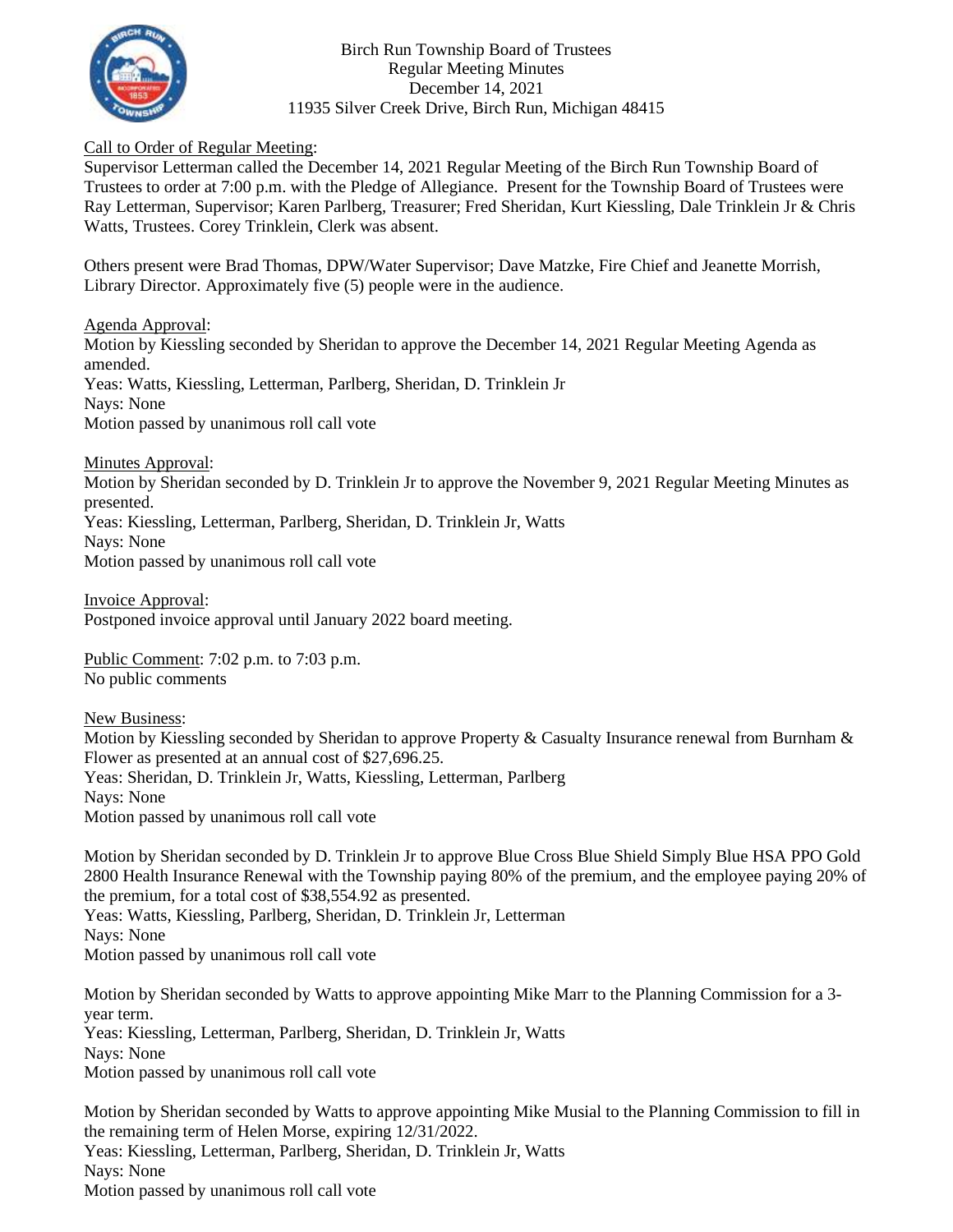

Birch Run Township Board of Trustees Regular Meeting Minutes December 14, 2021 11935 Silver Creek Drive, Birch Run, Michigan 48415

## Call to Order of Regular Meeting:

Supervisor Letterman called the December 14, 2021 Regular Meeting of the Birch Run Township Board of Trustees to order at 7:00 p.m. with the Pledge of Allegiance. Present for the Township Board of Trustees were Ray Letterman, Supervisor; Karen Parlberg, Treasurer; Fred Sheridan, Kurt Kiessling, Dale Trinklein Jr & Chris Watts, Trustees. Corey Trinklein, Clerk was absent.

Others present were Brad Thomas, DPW/Water Supervisor; Dave Matzke, Fire Chief and Jeanette Morrish, Library Director. Approximately five (5) people were in the audience.

Agenda Approval:

Motion by Kiessling seconded by Sheridan to approve the December 14, 2021 Regular Meeting Agenda as amended. Yeas: Watts, Kiessling, Letterman, Parlberg, Sheridan, D. Trinklein Jr Nays: None Motion passed by unanimous roll call vote

Minutes Approval:

Motion by Sheridan seconded by D. Trinklein Jr to approve the November 9, 2021 Regular Meeting Minutes as presented. Yeas: Kiessling, Letterman, Parlberg, Sheridan, D. Trinklein Jr, Watts Nays: None

Motion passed by unanimous roll call vote

Invoice Approval:

Postponed invoice approval until January 2022 board meeting.

Public Comment: 7:02 p.m. to 7:03 p.m. No public comments

New Business:

Motion by Kiessling seconded by Sheridan to approve Property & Casualty Insurance renewal from Burnham & Flower as presented at an annual cost of \$27,696.25. Yeas: Sheridan, D. Trinklein Jr, Watts, Kiessling, Letterman, Parlberg Nays: None Motion passed by unanimous roll call vote

Motion by Sheridan seconded by D. Trinklein Jr to approve Blue Cross Blue Shield Simply Blue HSA PPO Gold 2800 Health Insurance Renewal with the Township paying 80% of the premium, and the employee paying 20% of the premium, for a total cost of \$38,554.92 as presented. Yeas: Watts, Kiessling, Parlberg, Sheridan, D. Trinklein Jr, Letterman Nays: None Motion passed by unanimous roll call vote

Motion by Sheridan seconded by Watts to approve appointing Mike Marr to the Planning Commission for a 3 year term. Yeas: Kiessling, Letterman, Parlberg, Sheridan, D. Trinklein Jr, Watts Nays: None Motion passed by unanimous roll call vote

Motion by Sheridan seconded by Watts to approve appointing Mike Musial to the Planning Commission to fill in the remaining term of Helen Morse, expiring 12/31/2022. Yeas: Kiessling, Letterman, Parlberg, Sheridan, D. Trinklein Jr, Watts Nays: None Motion passed by unanimous roll call vote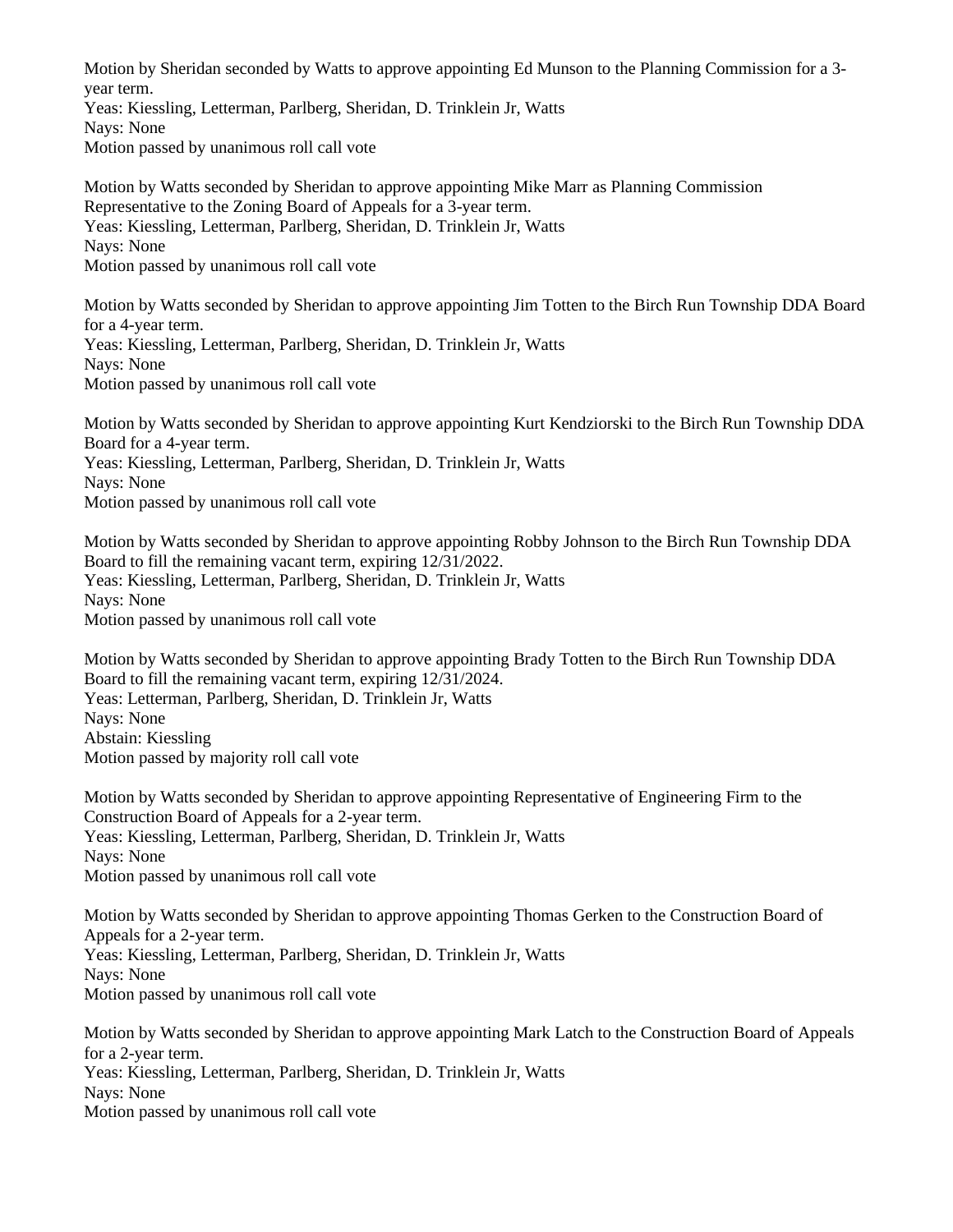Motion by Sheridan seconded by Watts to approve appointing Ed Munson to the Planning Commission for a 3 year term. Yeas: Kiessling, Letterman, Parlberg, Sheridan, D. Trinklein Jr, Watts Nays: None Motion passed by unanimous roll call vote

Motion by Watts seconded by Sheridan to approve appointing Mike Marr as Planning Commission Representative to the Zoning Board of Appeals for a 3-year term. Yeas: Kiessling, Letterman, Parlberg, Sheridan, D. Trinklein Jr, Watts Nays: None Motion passed by unanimous roll call vote

Motion by Watts seconded by Sheridan to approve appointing Jim Totten to the Birch Run Township DDA Board for a 4-year term. Yeas: Kiessling, Letterman, Parlberg, Sheridan, D. Trinklein Jr, Watts Nays: None Motion passed by unanimous roll call vote

Motion by Watts seconded by Sheridan to approve appointing Kurt Kendziorski to the Birch Run Township DDA Board for a 4-year term. Yeas: Kiessling, Letterman, Parlberg, Sheridan, D. Trinklein Jr, Watts Nays: None Motion passed by unanimous roll call vote

Motion by Watts seconded by Sheridan to approve appointing Robby Johnson to the Birch Run Township DDA Board to fill the remaining vacant term, expiring 12/31/2022. Yeas: Kiessling, Letterman, Parlberg, Sheridan, D. Trinklein Jr, Watts Nays: None Motion passed by unanimous roll call vote

Motion by Watts seconded by Sheridan to approve appointing Brady Totten to the Birch Run Township DDA Board to fill the remaining vacant term, expiring 12/31/2024. Yeas: Letterman, Parlberg, Sheridan, D. Trinklein Jr, Watts Nays: None Abstain: Kiessling Motion passed by majority roll call vote

Motion by Watts seconded by Sheridan to approve appointing Representative of Engineering Firm to the Construction Board of Appeals for a 2-year term. Yeas: Kiessling, Letterman, Parlberg, Sheridan, D. Trinklein Jr, Watts Nays: None Motion passed by unanimous roll call vote

Motion by Watts seconded by Sheridan to approve appointing Thomas Gerken to the Construction Board of Appeals for a 2-year term. Yeas: Kiessling, Letterman, Parlberg, Sheridan, D. Trinklein Jr, Watts Nays: None Motion passed by unanimous roll call vote

Motion by Watts seconded by Sheridan to approve appointing Mark Latch to the Construction Board of Appeals for a 2-year term. Yeas: Kiessling, Letterman, Parlberg, Sheridan, D. Trinklein Jr, Watts Nays: None Motion passed by unanimous roll call vote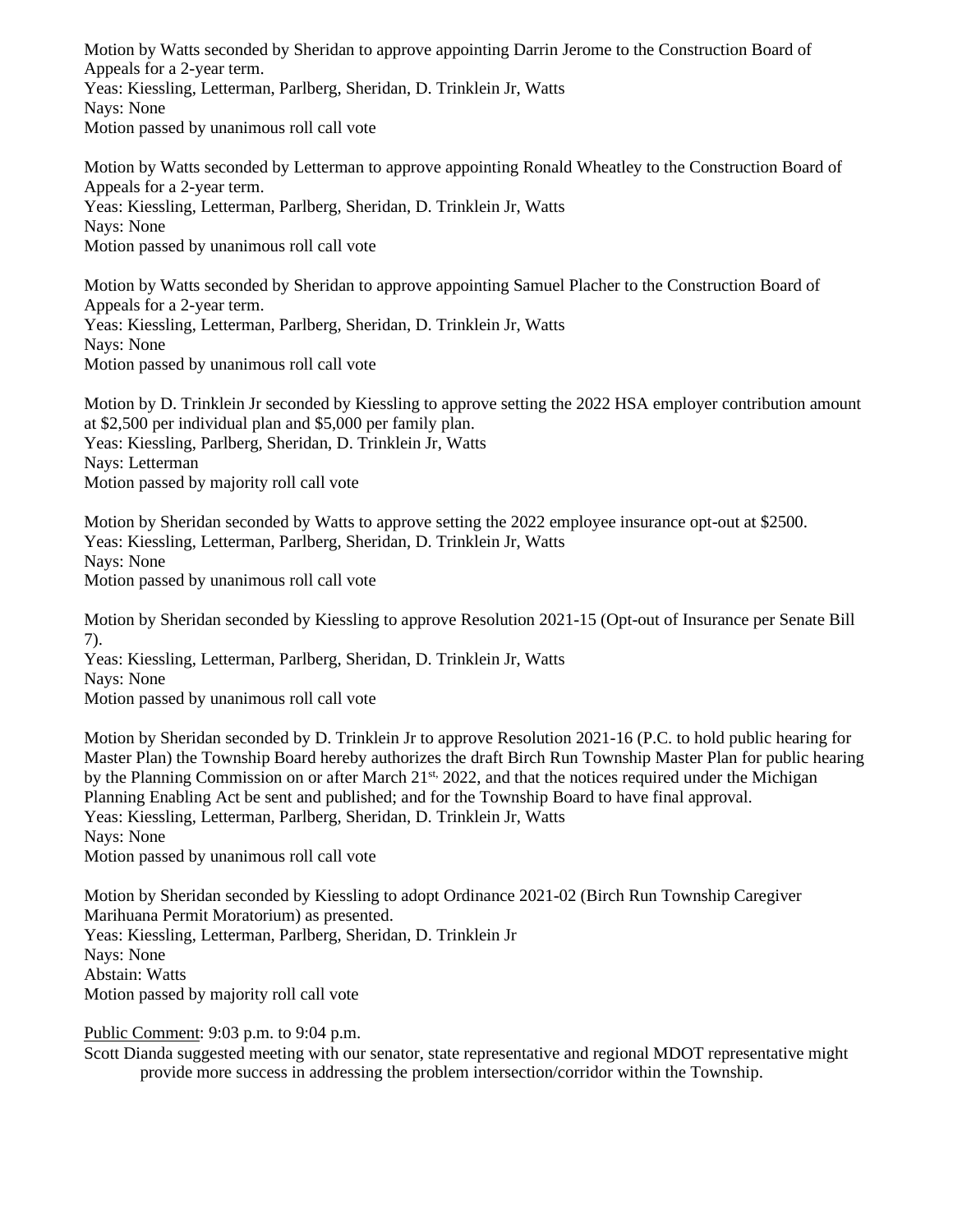Motion by Watts seconded by Sheridan to approve appointing Darrin Jerome to the Construction Board of Appeals for a 2-year term. Yeas: Kiessling, Letterman, Parlberg, Sheridan, D. Trinklein Jr, Watts Nays: None Motion passed by unanimous roll call vote

Motion by Watts seconded by Letterman to approve appointing Ronald Wheatley to the Construction Board of Appeals for a 2-year term. Yeas: Kiessling, Letterman, Parlberg, Sheridan, D. Trinklein Jr, Watts Nays: None Motion passed by unanimous roll call vote

Motion by Watts seconded by Sheridan to approve appointing Samuel Placher to the Construction Board of Appeals for a 2-year term. Yeas: Kiessling, Letterman, Parlberg, Sheridan, D. Trinklein Jr, Watts Nays: None Motion passed by unanimous roll call vote

Motion by D. Trinklein Jr seconded by Kiessling to approve setting the 2022 HSA employer contribution amount at \$2,500 per individual plan and \$5,000 per family plan. Yeas: Kiessling, Parlberg, Sheridan, D. Trinklein Jr, Watts Nays: Letterman Motion passed by majority roll call vote

Motion by Sheridan seconded by Watts to approve setting the 2022 employee insurance opt-out at \$2500. Yeas: Kiessling, Letterman, Parlberg, Sheridan, D. Trinklein Jr, Watts Nays: None Motion passed by unanimous roll call vote

Motion by Sheridan seconded by Kiessling to approve Resolution 2021-15 (Opt-out of Insurance per Senate Bill 7).

Yeas: Kiessling, Letterman, Parlberg, Sheridan, D. Trinklein Jr, Watts Nays: None Motion passed by unanimous roll call vote

Motion by Sheridan seconded by D. Trinklein Jr to approve Resolution 2021-16 (P.C. to hold public hearing for Master Plan) the Township Board hereby authorizes the draft Birch Run Township Master Plan for public hearing by the Planning Commission on or after March  $21^{st}$ , 2022, and that the notices required under the Michigan Planning Enabling Act be sent and published; and for the Township Board to have final approval. Yeas: Kiessling, Letterman, Parlberg, Sheridan, D. Trinklein Jr, Watts Nays: None Motion passed by unanimous roll call vote

Motion by Sheridan seconded by Kiessling to adopt Ordinance 2021-02 (Birch Run Township Caregiver Marihuana Permit Moratorium) as presented. Yeas: Kiessling, Letterman, Parlberg, Sheridan, D. Trinklein Jr Nays: None Abstain: Watts Motion passed by majority roll call vote

Public Comment: 9:03 p.m. to 9:04 p.m.

Scott Dianda suggested meeting with our senator, state representative and regional MDOT representative might provide more success in addressing the problem intersection/corridor within the Township.